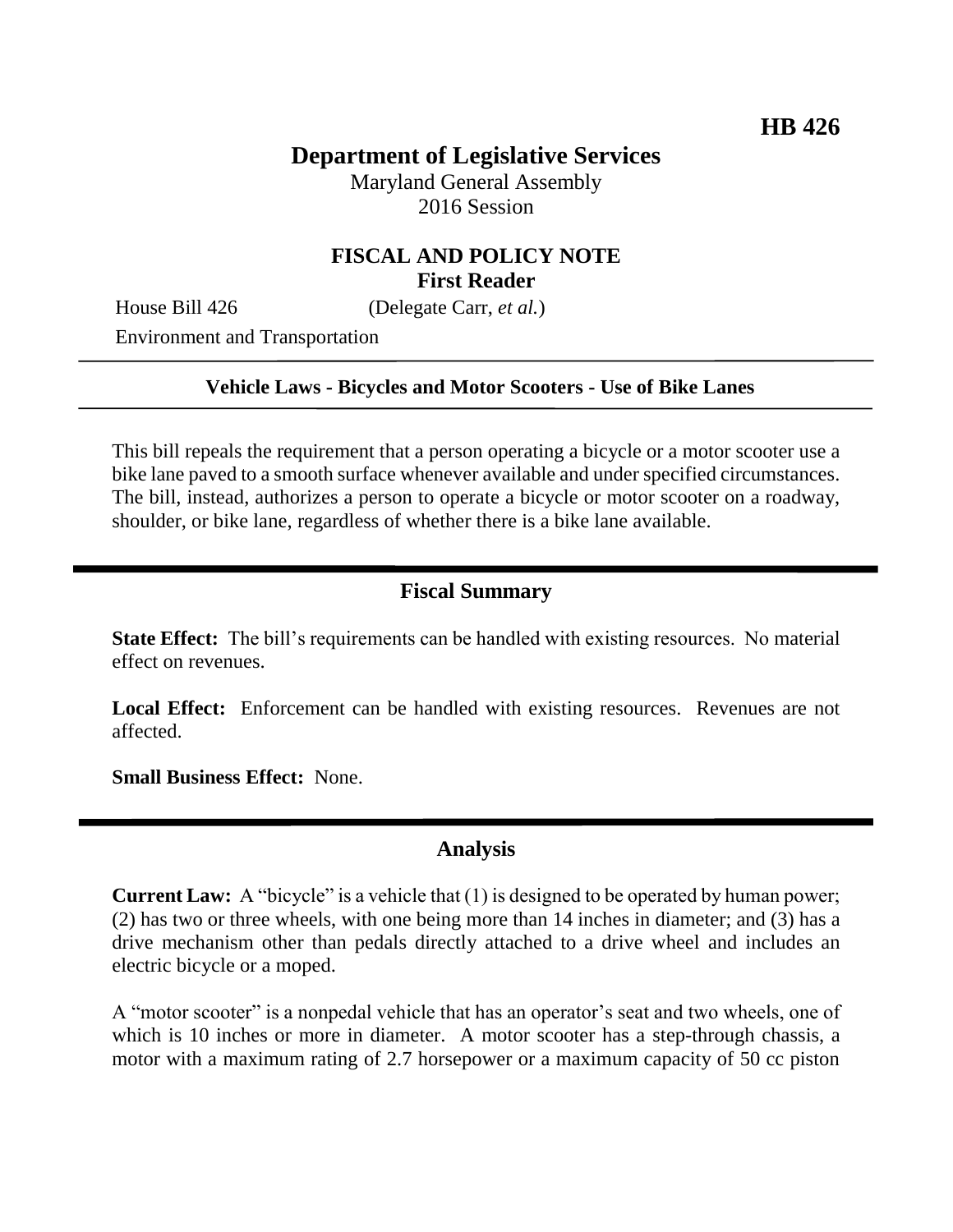# **Department of Legislative Services**

Maryland General Assembly 2016 Session

# **FISCAL AND POLICY NOTE First Reader**

House Bill 426 (Delegate Carr, *et al.*)

Environment and Transportation

### **Vehicle Laws - Bicycles and Motor Scooters - Use of Bike Lanes**

This bill repeals the requirement that a person operating a bicycle or a motor scooter use a bike lane paved to a smooth surface whenever available and under specified circumstances. The bill, instead, authorizes a person to operate a bicycle or motor scooter on a roadway, shoulder, or bike lane, regardless of whether there is a bike lane available.

## **Fiscal Summary**

**State Effect:** The bill's requirements can be handled with existing resources. No material effect on revenues.

Local Effect: Enforcement can be handled with existing resources. Revenues are not affected.

**Small Business Effect:** None.

# **Analysis**

**Current Law:** A "bicycle" is a vehicle that (1) is designed to be operated by human power; (2) has two or three wheels, with one being more than 14 inches in diameter; and (3) has a drive mechanism other than pedals directly attached to a drive wheel and includes an electric bicycle or a moped.

A "motor scooter" is a nonpedal vehicle that has an operator's seat and two wheels, one of which is 10 inches or more in diameter. A motor scooter has a step-through chassis, a motor with a maximum rating of 2.7 horsepower or a maximum capacity of 50 cc piston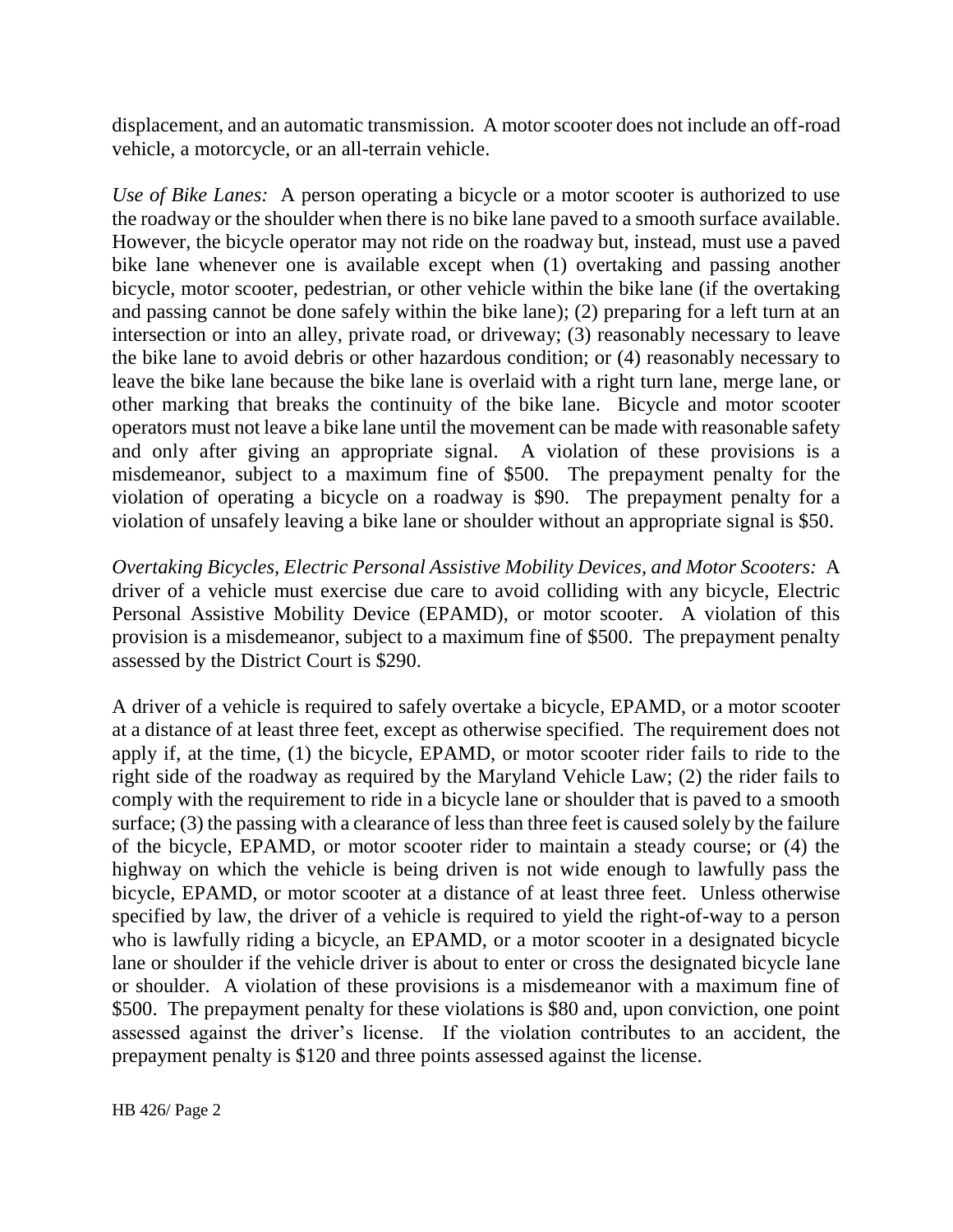displacement, and an automatic transmission. A motor scooter does not include an off-road vehicle, a motorcycle, or an all-terrain vehicle.

*Use of Bike Lanes:* A person operating a bicycle or a motor scooter is authorized to use the roadway or the shoulder when there is no bike lane paved to a smooth surface available. However, the bicycle operator may not ride on the roadway but, instead, must use a paved bike lane whenever one is available except when (1) overtaking and passing another bicycle, motor scooter, pedestrian, or other vehicle within the bike lane (if the overtaking and passing cannot be done safely within the bike lane); (2) preparing for a left turn at an intersection or into an alley, private road, or driveway; (3) reasonably necessary to leave the bike lane to avoid debris or other hazardous condition; or (4) reasonably necessary to leave the bike lane because the bike lane is overlaid with a right turn lane, merge lane, or other marking that breaks the continuity of the bike lane. Bicycle and motor scooter operators must not leave a bike lane until the movement can be made with reasonable safety and only after giving an appropriate signal. A violation of these provisions is a misdemeanor, subject to a maximum fine of \$500. The prepayment penalty for the violation of operating a bicycle on a roadway is \$90. The prepayment penalty for a violation of unsafely leaving a bike lane or shoulder without an appropriate signal is \$50.

*Overtaking Bicycles, Electric Personal Assistive Mobility Devices, and Motor Scooters:* A driver of a vehicle must exercise due care to avoid colliding with any bicycle, Electric Personal Assistive Mobility Device (EPAMD), or motor scooter. A violation of this provision is a misdemeanor, subject to a maximum fine of \$500. The prepayment penalty assessed by the District Court is \$290.

A driver of a vehicle is required to safely overtake a bicycle, EPAMD, or a motor scooter at a distance of at least three feet, except as otherwise specified. The requirement does not apply if, at the time, (1) the bicycle, EPAMD, or motor scooter rider fails to ride to the right side of the roadway as required by the Maryland Vehicle Law; (2) the rider fails to comply with the requirement to ride in a bicycle lane or shoulder that is paved to a smooth surface; (3) the passing with a clearance of less than three feet is caused solely by the failure of the bicycle, EPAMD, or motor scooter rider to maintain a steady course; or (4) the highway on which the vehicle is being driven is not wide enough to lawfully pass the bicycle, EPAMD, or motor scooter at a distance of at least three feet. Unless otherwise specified by law, the driver of a vehicle is required to yield the right-of-way to a person who is lawfully riding a bicycle, an EPAMD, or a motor scooter in a designated bicycle lane or shoulder if the vehicle driver is about to enter or cross the designated bicycle lane or shoulder. A violation of these provisions is a misdemeanor with a maximum fine of \$500. The prepayment penalty for these violations is \$80 and, upon conviction, one point assessed against the driver's license. If the violation contributes to an accident, the prepayment penalty is \$120 and three points assessed against the license.